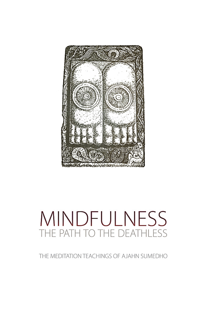

# MINDFULNESS THE PATH TO THE DEATHLESS

THE MEDITATION TEACHINGS OF AJAHN SUMEDHO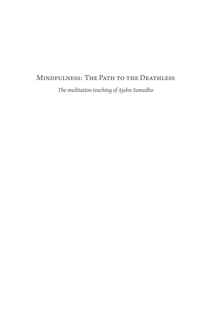## MINDFULNESS: THE PATH TO THE DEATHLESS

The meditation teaching of Ajahn Sumedho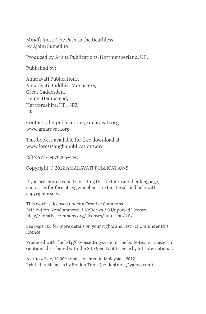Mindfulness: The Path to the Deathless by Ajahn Sumedho

Produced by Aruna Publications, Northumberland, UK.

Published by:

Amaravati Publications, Amaravati Buddhist Monastery, Great Gaddesden, Hemel Hempstead, Hertfordshire, HP1 3BZ UK

Contact: abmpublications@amaravati.org [www.amaravati.org](http://amaravati.org)

This book is available for free download at [www.forestsanghapublications.org](http://forestsanghapublications.org/)

ISBN 978-1-870205-44-3

Copyright © 2012 AMARAVATI PUBLICATIONS

If you are interested in translating this text into another language, contact us for formatting guidelines, text material, and help with copyright issues.

This work is licensed under a Creative Commons Attribution-NonCommercial-NoDerivs 3.0 Unported License. <http://creativecommons.org/licenses/by-nc-nd/3.0/>

See page [105](#page-90-0) for more details on your rights and restrictions under this licence.

Produced with the IATFX typesetting system. The body-text is typeset in Gentium, distributed with the SIL Open Font Licence by SIL International.

*Fourth edition*, 10,000 copies, printed in Malaysia – 2012 Printed in Malaysia by Bolden Trade (boldentrade@yahoo.com).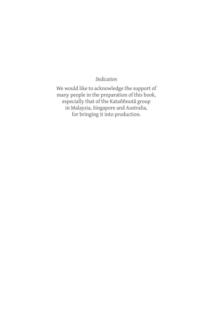#### *Dedication*

We would like to acknowledge the support of many people in the preparation of this book, especially that of the Kataññnutā group in Malaysia, Singapore and Australia, for bringing it into production.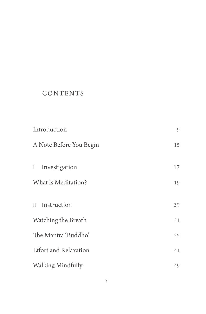## **CONTENTS**

| Introduction                 | 9  |
|------------------------------|----|
| A Note Before You Begin      | 15 |
| I Investigation              | 17 |
| What is Meditation?          | 19 |
| II Instruction               | 29 |
| <b>Watching the Breath</b>   | 31 |
| The Mantra 'Buddho'          | 35 |
| <b>Effort and Relaxation</b> | 41 |
| <b>Walking Mindfully</b>     | 49 |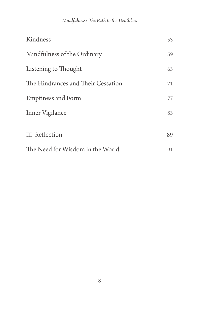Mindfulness: The Path to the Deathless

| Kindness                           | 53 |
|------------------------------------|----|
| Mindfulness of the Ordinary        | 59 |
| Listening to Thought               | 63 |
| The Hindrances and Their Cessation | 71 |
| <b>Emptiness and Form</b>          | 77 |
| Inner Vigilance                    | 83 |
|                                    |    |
| III Reflection                     | 89 |
| The Need for Wisdom in the World   | 91 |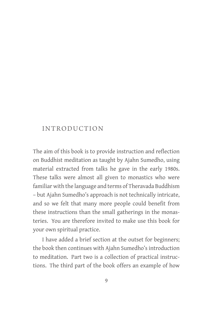#### <span id="page-8-0"></span> $INTRODUCTION$

The aim of this book is to provide instruction and reflection on Buddhist meditation as taught by Ajahn Sumedho, using material extracted from talks he gave in the early 1980s. These talks were almost all given to monastics who were familiar with the language and terms of Theravada Buddhism – but Ajahn Sumedho's approach is not technically intricate, and so we felt that many more people could benefit from these instructions than the small gatherings in the monasteries. You are therefore invited to make use this book for your own spiritual practice.

I have added a brief section at the outset for beginners; the book then continues with Ajahn Sumedho's introduction to meditation. Part two is a collection of practical instructions. The third part of the book offers an example of how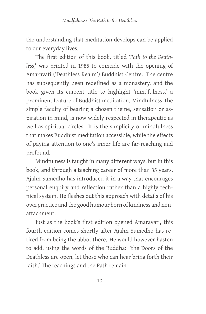the understanding that meditation develops can be applied to our everyday lives.

The first edition of this book, titled '*Path to the Deathless*,' was printed in 1985 to coincide with the opening of Amaravati ('Deathless Realm') Buddhist Centre. The centre has subsequently been redefined as a monastery, and the book given its current title to highlight 'mindfulness,' a prominent feature of Buddhist meditation. Mindfulness, the simple faculty of bearing a chosen theme, sensation or aspiration in mind, is now widely respected in therapeutic as well as spiritual circles. It is the simplicity of mindfulness that makes Buddhist meditation accessible, while the effects of paying attention to one's inner life are far-reaching and profound.

Mindfulness is taught in many different ways, but in this book, and through a teaching career of more than 35 years, Ajahn Sumedho has introduced it in a way that encourages personal enquiry and reflection rather than a highly technical system. He fleshes out this approach with details of his own practice and the good humour born of kindness and nonattachment.

Just as the book's first edition opened Amaravati, this fourth edition comes shortly after Ajahn Sumedho has retired from being the abbot there. He would however hasten to add, using the words of the Buddha: 'the Doors of the Deathless are open, let those who can hear bring forth their faith.' The teachings and the Path remain.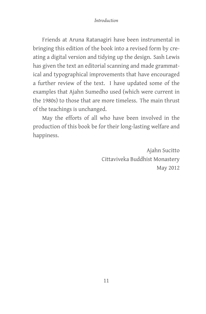#### *Introduction*

Friends at Aruna Ratanagiri have been instrumental in bringing this edition of the book into a revised form by creating a digital version and tidying up the design. Sash Lewis has given the text an editorial scanning and made grammatical and typographical improvements that have encouraged a further review of the text. I have updated some of the examples that Ajahn Sumedho used (which were current in the 1980s) to those that are more timeless. The main thrust of the teachings is unchanged.

May the efforts of all who have been involved in the production of this book be for their long-lasting welfare and happiness.

> Ajahn Sucitto Cittaviveka Buddhist Monastery May 2012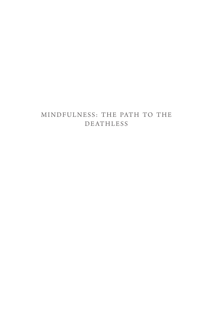## MINDFULNESS: THE PATH TO THE **DEATHLESS**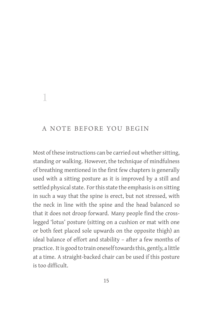#### A NOTE BEFORE YOU BEGIN

<span id="page-14-0"></span>1

Most of these instructions can be carried out whether sitting, standing or walking. However, the technique of mindfulness of breathing mentioned in the first few chapters is generally used with a sitting posture as it is improved by a still and settled physical state. For this state the emphasis is on sitting in such a way that the spine is erect, but not stressed, with the neck in line with the spine and the head balanced so that it does not droop forward. Many people find the crosslegged 'lotus' posture (sitting on a cushion or mat with one or both feet placed sole upwards on the opposite thigh) an ideal balance of effort and stability – after a few months of practice. It is good to train oneself towards this, gently, a little at a time. A straight-backed chair can be used if this posture is too difficult.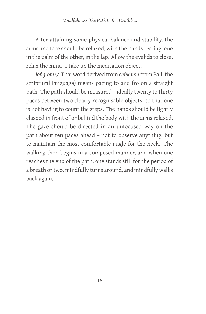After attaining some physical balance and stability, the arms and face should be relaxed, with the hands resting, one in the palm of the other, in the lap. Allow the eyelids to close, relax the mind … take up the meditation object.

*Joṅgrom* (a Thai word derived from *caṅkama* from Pali, the scriptural language) means pacing to and fro on a straight path. The path should be measured – ideally twenty to thirty paces between two clearly recognisable objects, so that one is not having to count the steps. The hands should be lightly clasped in front of or behind the body with the arms relaxed. The gaze should be directed in an unfocused way on the path about ten paces ahead – not to observe anything, but to maintain the most comfortable angle for the neck. The walking then begins in a composed manner, and when one reaches the end of the path, one stands still for the period of a breath or two, mindfully turns around, and mindfully walks back again.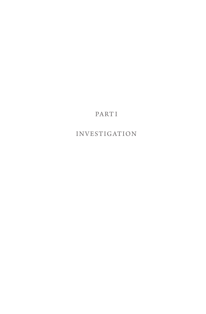## PARTI

## <span id="page-16-0"></span>**INVESTIGATION**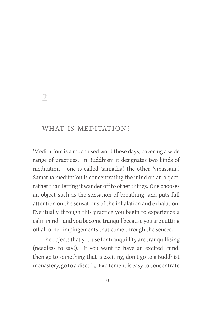## <span id="page-18-0"></span> $\overline{c}$

#### WHAT IS MEDITATION?

'Meditation' is a much used word these days, covering a wide range of practices. In Buddhism it designates two kinds of meditation – one is called 'samatha,' the other 'vipassanā.' Samatha meditation is concentrating the mind on an object, rather than letting it wander off to other things. One chooses an object such as the sensation of breathing, and puts full attention on the sensations of the inhalation and exhalation. Eventually through this practice you begin to experience a calm mind – and you become tranquil because you are cutting off all other impingements that come through the senses.

The objects that you use for tranquillity are tranquillising (needless to say!). If you want to have an excited mind, then go to something that is exciting, don't go to a Buddhist monastery, go to a disco! … Excitement is easy to concentrate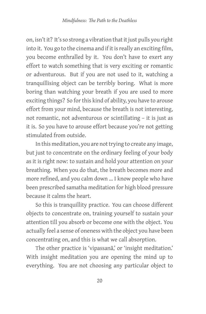on, isn't it? It's so strong a vibration that it just pulls you right into it. You go to the cinema and if it is really an exciting film, you become enthralled by it. You don't have to exert any effort to watch something that is very exciting or romantic or adventurous. But if you are not used to it, watching a tranquillising object can be terribly boring. What is more boring than watching your breath if you are used to more exciting things? So for this kind of ability, you have to arouse effort from your mind, because the breath is not interesting, not romantic, not adventurous or scintillating – it is just as it is. So you have to arouse effort because you're not getting stimulated from outside.

In this meditation, you are not trying to create any image, but just to concentrate on the ordinary feeling of your body as it is right now: to sustain and hold your attention on your breathing. When you do that, the breath becomes more and more refined, and you calm down … I know people who have been prescribed samatha meditation for high blood pressure because it calms the heart.

So this is tranquillity practice. You can choose different objects to concentrate on, training yourself to sustain your attention till you absorb or become one with the object. You actually feel a sense of oneness with the object you have been concentrating on, and this is what we call absorption.

The other practice is 'vipassanā,' or 'insight meditation.' With insight meditation you are opening the mind up to everything. You are not choosing any particular object to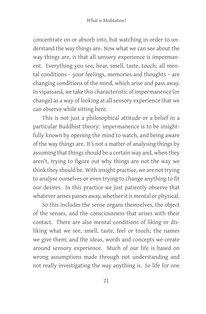concentrate on or absorb into, but watching in order to understand the way things are. Now what we can see about the way things are, is that all sensory experience is impermanent. Everything you see, hear, smell, taste, touch; all mental conditions – your feelings, memories and thoughts – are changing conditions of the mind, which arise and pass away. In vipassanā, we take this characteristic of impermanence (or change) as a way of looking at all sensory experience that we can observe while sitting here.

This is not just a philosophical attitude or a belief in a particular Buddhist theory: impermanence is to be insightfully known by opening the mind to watch, and being aware of the way things are. It's not a matter of analysing things by assuming that things should be a certain way and, when they aren't, trying to figure out why things are not the way we think they should be. With insight practice, we are not trying to analyse ourselves or even trying to change anything to fit our desires. In this practice we just patiently observe that whatever arises passes away, whether it is mental or physical.

So this includes the sense organs themselves, the object of the senses, and the consciousness that arises with their contact. There are also mental conditions of liking or disliking what we see, smell, taste, feel or touch; the names we give them; and the ideas, words and concepts we create around sensory experience. Much of our life is based on wrong assumptions made through not understanding and not really investigating the way anything is. So life for one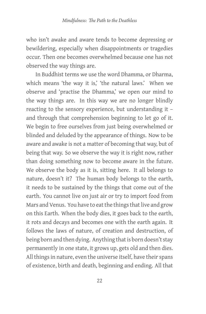who isn't awake and aware tends to become depressing or bewildering, especially when disappointments or tragedies occur. Then one becomes overwhelmed because one has not observed the way things are.

In Buddhist terms we use the word Dhamma, or Dharma, which means 'the way it is,' 'the natural laws.' When we observe and 'practise the Dhamma,' we open our mind to the way things are. In this way we are no longer blindly reacting to the sensory experience, but understanding it – and through that comprehension beginning to let go of it. We begin to free ourselves from just being overwhelmed or blinded and deluded by the appearance of things. Now to be aware and awake is not a matter of becoming that way, but of being that way. So we observe the way it is right now, rather than doing something now to become aware in the future. We observe the body as it is, sitting here. It all belongs to nature, doesn't it? The human body belongs to the earth, it needs to be sustained by the things that come out of the earth. You cannot live on just air or try to import food from Mars and Venus. You have to eat the things that live and grow on this Earth. When the body dies, it goes back to the earth, it rots and decays and becomes one with the earth again. It follows the laws of nature, of creation and destruction, of being born and then dying. Anything that is born doesn't stay permanently in one state, it grows up, gets old and then dies. All things in nature, even the universe itself, have their spans of existence, birth and death, beginning and ending. All that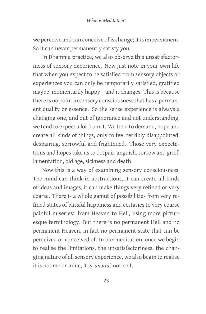we perceive and can conceive of is change; it is impermanent. So it can never permanently satisfy you.

In Dhamma practice, we also observe this unsatisfactoriness of sensory experience. Now just note in your own life that when you expect to be satisfied from sensory objects or experiences you can only be temporarily satisfied, gratified maybe, momentarily happy – and it changes. This is because there is no point in sensory consciousness that has a permanent quality or essence. So the sense experience is always a changing one, and out of ignorance and not understanding, we tend to expect a lot from it. We tend to demand, hope and create all kinds of things, only to feel terribly disappointed, despairing, sorrowful and frightened. Those very expectations and hopes take us to despair, anguish, sorrow and grief, lamentation, old age, sickness and death.

Now this is a way of examining sensory consciousness. The mind can think in abstractions, it can create all kinds of ideas and images, it can make things very refined or very coarse. There is a whole gamut of possibilities from very refined states of blissful happiness and ecstasies to very coarse painful miseries: from Heaven to Hell, using more picturesque terminology. But there is no permanent Hell and no permanent Heaven, in fact no permanent state that can be perceived or conceived of. In our meditation, once we begin to realise the limitations, the unsatisfactoriness, the changing nature of all sensory experience, we also begin to realise it is not me or mine, it is '*anattā*,' not-self.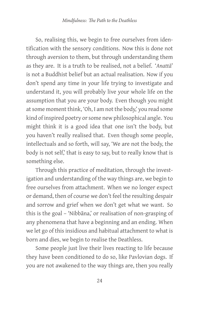So, realising this, we begin to free ourselves from identification with the sensory conditions. Now this is done not through aversion to them, but through understanding them as they are. It is a truth to be realised, not a belief. '*Anattā*' is not a Buddhist belief but an actual realisation. Now if you don't spend any time in your life trying to investigate and understand it, you will probably live your whole life on the assumption that you are your body. Even though you might at some moment think, 'Oh, I am not the body,' you read some kind of inspired poetry or some new philosophical angle. You might think it is a good idea that one isn't the body, but you haven't really realised that. Even though some people, intellectuals and so forth, will say, 'We are not the body, the body is not self,' that is easy to say, but to really know that is something else.

Through this practice of meditation, through the investigation and understanding of the way things are, we begin to free ourselves from attachment. When we no longer expect or demand, then of course we don't feel the resulting despair and sorrow and grief when we don't get what we want. So this is the goal – 'Nibbāna,' or realisation of non-grasping of any phenomena that have a beginning and an ending. When we let go of this insidious and habitual attachment to what is born and dies, we begin to realise the Deathless.

Some people just live their lives reacting to life because they have been conditioned to do so, like Pavlovian dogs. If you are not awakened to the way things are, then you really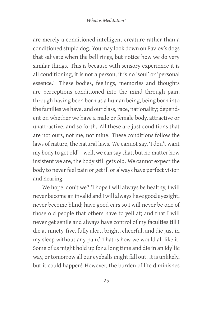are merely a conditioned intelligent creature rather than a conditioned stupid dog. You may look down on Pavlov's dogs that salivate when the bell rings, but notice how we do very similar things. This is because with sensory experience it is all conditioning, it is not a person, it is no 'soul' or 'personal essence.' These bodies, feelings, memories and thoughts are perceptions conditioned into the mind through pain, through having been born as a human being, being born into the families we have, and our class, race, nationality; dependent on whether we have a male or female body, attractive or unattractive, and so forth. All these are just conditions that are not ours, not me, not mine. These conditions follow the laws of nature, the natural laws. We cannot say, 'I don't want my body to get old' – well, we can say that, but no matter how insistent we are, the body still gets old. We cannot expect the body to never feel pain or get ill or always have perfect vision and hearing.

We hope, don't we? 'I hope I will always be healthy, I will never become an invalid and I will always have good eyesight, never become blind; have good ears so I will never be one of those old people that others have to yell at; and that I will never get senile and always have control of my faculties till I die at ninety-five, fully alert, bright, cheerful, and die just in my sleep without any pain.' That is how we would all like it. Some of us might hold up for a long time and die in an idyllic way, or tomorrow all our eyeballs might fall out. It is unlikely, but it could happen! However, the burden of life diminishes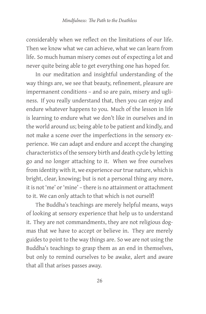considerably when we reflect on the limitations of our life. Then we know what we can achieve, what we can learn from life. So much human misery comes out of expecting a lot and never quite being able to get everything one has hoped for.

In our meditation and insightful understanding of the way things are, we see that beauty, refinement, pleasure are impermanent conditions – and so are pain, misery and ugliness. If you really understand that, then you can enjoy and endure whatever happens to you. Much of the lesson in life is learning to endure what we don't like in ourselves and in the world around us; being able to be patient and kindly, and not make a scene over the imperfections in the sensory experience. We can adapt and endure and accept the changing characteristics of the sensory birth and death cycle by letting go and no longer attaching to it. When we free ourselves from identity with it, we experience our true nature, which is bright, clear, knowing; but is not a personal thing any more, it is not 'me' or 'mine' – there is no attainment or attachment to it. We can only attach to that which is not ourself!

The Buddha's teachings are merely helpful means, ways of looking at sensory experience that help us to understand it. They are not commandments, they are not religious dogmas that we have to accept or believe in. They are merely guides to point to the way things are. So we are not using the Buddha's teachings to grasp them as an end in themselves, but only to remind ourselves to be awake, alert and aware that all that arises passes away.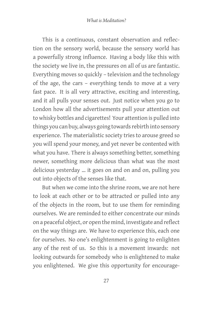This is a continuous, constant observation and reflection on the sensory world, because the sensory world has a powerfully strong influence. Having a body like this with the society we live in, the pressures on all of us are fantastic. Everything moves so quickly – television and the technology of the age, the cars – everything tends to move at a very fast pace. It is all very attractive, exciting and interesting, and it all pulls your senses out. Just notice when you go to London how all the advertisements pull your attention out to whisky bottles and cigarettes! Your attention is pulled into things you can buy, always going towards rebirth into sensory experience. The materialistic society tries to arouse greed so you will spend your money, and yet never be contented with what you have. There is always something better, something newer, something more delicious than what was the most delicious yesterday … it goes on and on and on, pulling you out into objects of the senses like that.

But when we come into the shrine room, we are not here to look at each other or to be attracted or pulled into any of the objects in the room, but to use them for reminding ourselves. We are reminded to either concentrate our minds on a peaceful object, or open the mind, investigate and reflect on the way things are. We have to experience this, each one for ourselves. No one's enlightenment is going to enlighten any of the rest of us. So this is a movement inwards: not looking outwards for somebody who is enlightened to make you enlightened. We give this opportunity for encourage-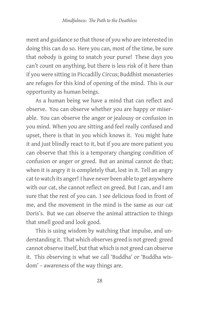ment and guidance so that those of you who are interested in doing this can do so. Here you can, most of the time, be sure that nobody is going to snatch your purse! These days you can't count on anything, but there is less risk of it here than if you were sitting in Piccadilly Circus; Buddhist monasteries are refuges for this kind of opening of the mind. This is our opportunity as human beings.

As a human being we have a mind that can reflect and observe. You can observe whether you are happy or miserable. You can observe the anger or jealousy or confusion in you mind. When you are sitting and feel really confused and upset, there is that in you which knows it. You might hate it and just blindly react to it, but if you are more patient you can observe that this is a temporary changing condition of confusion or anger or greed. But an animal cannot do that; when it is angry it is completely that, lost in it. Tell an angry cat to watch its anger! I have never been able to get anywhere with our cat, she cannot reflect on greed. But I can, and I am sure that the rest of you can. I see delicious food in front of me, and the movement in the mind is the same as our cat Doris's. But we can observe the animal attraction to things that smell good and look good.

This is using wisdom by watching that impulse, and understanding it. That which observes greed is not greed: greed cannot observe itself, but that which is not greed can observe it. This observing is what we call 'Buddha' or 'Buddha wisdom' – awareness of the way things are.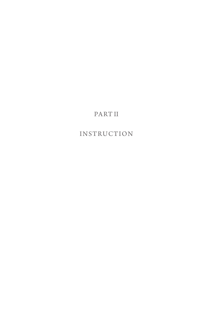## PART II

## <span id="page-28-0"></span>**INSTRUCTION**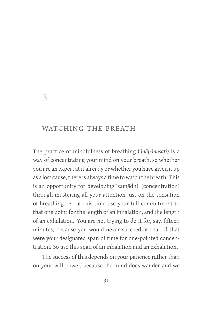## <span id="page-30-0"></span>3

#### WATCHING THE BREATH

The practice of mindfulness of breathing (*ānāpānasati*) is a way of concentrating your mind on your breath, so whether you are an expert at it already or whether you have given it up as a lost cause, there is always a time to watch the breath. This is an opportunity for developing 'samādhi' (concentration) through mustering all your attention just on the sensation of breathing. So at this time use your full commitment to that one point for the length of an inhalation, and the length of an exhalation. You are not trying to do it for, say, fifteen minutes, because you would never succeed at that, if that were your designated span of time for one-pointed concentration. So use this span of an inhalation and an exhalation.

The success of this depends on your patience rather than on your will-power, because the mind does wander and we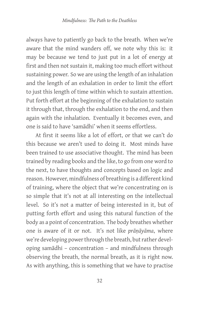always have to patiently go back to the breath. When we're aware that the mind wanders off, we note why this is: it may be because we tend to just put in a lot of energy at first and then not sustain it, making too much effort without sustaining power. So we are using the length of an inhalation and the length of an exhalation in order to limit the effort to just this length of time within which to sustain attention. Put forth effort at the beginning of the exhalation to sustain it through that, through the exhalation to the end, and then again with the inhalation. Eventually it becomes even, and one is said to have 'samādhi' when it seems effortless.

At first it seems like a lot of effort, or that we can't do this because we aren't used to doing it. Most minds have been trained to use associative thought. The mind has been trained by reading books and the like, to go from one word to the next, to have thoughts and concepts based on logic and reason. However, mindfulness of breathing is a different kind of training, where the object that we're concentrating on is so simple that it's not at all interesting on the intellectual level. So it's not a matter of being interested in it, but of putting forth effort and using this natural function of the body as a point of concentration. The body breathes whether one is aware of it or not. It's not like *prāṇāyāma*, where we're developing power through the breath, but rather developing samādhi – concentration – and mindfulness through observing the breath, the normal breath, as it is right now. As with anything, this is something that we have to practise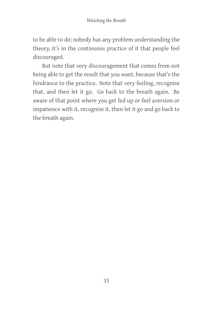to be able to do; nobody has any problem understanding the theory, it's in the continuous practice of it that people feel discouraged.

But note that very discouragement that comes from not being able to get the result that you want, because that's the hindrance to the practice. Note that very feeling, recognise that, and then let it go. Go back to the breath again. Be aware of that point where you get fed up or feel aversion or impatience with it, recognise it, then let it go and go back to the breath again.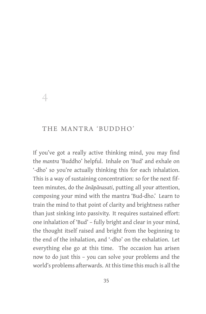#### THE MANTRA 'BUDDHO'

<span id="page-34-0"></span>4

If you've got a really active thinking mind, you may find the *mantra* 'Buddho' helpful. Inhale on 'Bud' and exhale on '-dho' so you're actually thinking this for each inhalation. This is a way of sustaining concentration: so for the next fifteen minutes, do the *ānāpānasati*, putting all your attention, composing your mind with the mantra 'Bud-dho.' Learn to train the mind to that point of clarity and brightness rather than just sinking into passivity. It requires sustained effort: one inhalation of 'Bud' – fully bright and clear in your mind, the thought itself raised and bright from the beginning to the end of the inhalation, and '-dho' on the exhalation. Let everything else go at this time. The occasion has arisen now to do just this – you can solve your problems and the world's problems afterwards. At this time this much is all the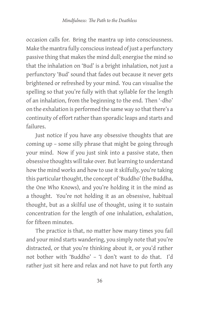occasion calls for. Bring the mantra up into consciousness. Make the mantra fully conscious instead of just a perfunctory passive thing that makes the mind dull; energise the mind so that the inhalation on 'Bud' is a bright inhalation, not just a perfunctory 'Bud' sound that fades out because it never gets brightened or refreshed by your mind. You can visualise the spelling so that you're fully with that syllable for the length of an inhalation, from the beginning to the end. Then '-dho' on the exhalation is performed the same way so that there's a continuity of effort rather than sporadic leaps and starts and failures.

Just notice if you have any obsessive thoughts that are coming up – some silly phrase that might be going through your mind. Now if you just sink into a passive state, then obsessive thoughts will take over. But learning to understand how the mind works and how to use it skilfully, you're taking this particular thought, the concept of 'Buddho' (the Buddha, the One Who Knows), and you're holding it in the mind as a thought. You're not holding it as an obsessive, habitual thought, but as a skilful use of thought, using it to sustain concentration for the length of one inhalation, exhalation, for fifteen minutes.

The practice is that, no matter how many times you fail and your mind starts wandering, you simply note that you're distracted, or that you're thinking about it, or you'd rather not bother with 'Buddho' – 'I don't want to do that. I'd rather just sit here and relax and not have to put forth any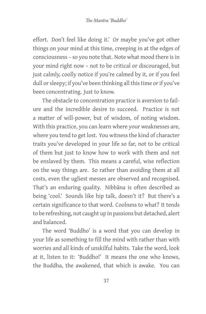effort. Don't feel like doing it.' Or maybe you've got other things on your mind at this time, creeping in at the edges of consciousness – so you note that. Note what mood there is in your mind right now – not to be critical or discouraged, but just calmly, coolly notice if you're calmed by it, or if you feel dull or sleepy; if you've been thinking all this time or if you've been concentrating. Just to know.

The obstacle to concentration practice is aversion to failure and the incredible desire to succeed. Practice is not a matter of will-power, but of wisdom, of noting wisdom. With this practice, you can learn where your weaknesses are, where you tend to get lost. You witness the kind of character traits you've developed in your life so far, not to be critical of them but just to know how to work with them and not be enslaved by them. This means a careful, wise reflection on the way things are. So rather than avoiding them at all costs, even the ugliest messes are observed and recognised. That's an enduring quality. Nibbāna is often described as being 'cool.' Sounds like hip talk, doesn't it? But there's a certain significance to that word. Coolness to what? It tends to be refreshing, not caught up in passions but detached, alert and balanced.

The word 'Buddho' is a word that you can develop in your life as something to fill the mind with rather than with worries and all kinds of unskilful habits. Take the word, look at it, listen to it: 'Buddho!' It means the one who knows, the Buddha, the awakened, that which is awake. You can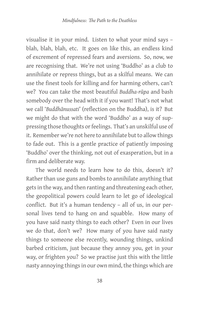visualise it in your mind. Listen to what your mind says – blah, blah, blah, etc. It goes on like this, an endless kind of excrement of repressed fears and aversions. So, now, we are recognising that. We're not using 'Buddho' as a club to annihilate or repress things, but as a skilful means. We can use the finest tools for killing and for harming others, can't we? You can take the most beautiful *Buddha-rūpa* and bash somebody over the head with it if you want! That's not what we call '*Buddhānussati*' (reflection on the Buddha), is it? But we might do that with the word 'Buddho' as a way of suppressing those thoughts or feelings. That's an unskilful use of it. Remember we're not here to annihilate but to allow things to fade out. This is a gentle practice of patiently imposing 'Buddho' over the thinking, not out of exasperation, but in a firm and deliberate way.

The world needs to learn how to do this, doesn't it? Rather than use guns and bombs to annihilate anything that gets in the way, and then ranting and threatening each other, the geopolitical powers could learn to let go of ideological conflict. But it's a human tendency – all of us, in our personal lives tend to hang on and squabble. How many of you have said nasty things to each other? Even in our lives we do that, don't we? How many of you have said nasty things to someone else recently, wounding things, unkind barbed criticism, just because they annoy you, get in your way, or frighten you? So we practise just this with the little nasty annoying things in our own mind, the things which are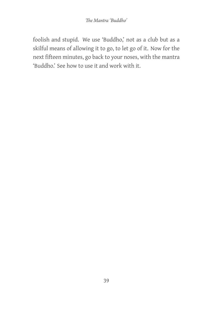foolish and stupid. We use 'Buddho,' not as a club but as a skilful means of allowing it to go, to let go of it. Now for the next fifteen minutes, go back to your noses, with the mantra 'Buddho.' See how to use it and work with it.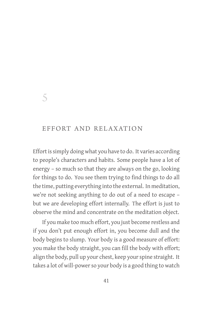# $\overline{S}$

### EFFORT AND RELAXATION

Effort is simply doing what you have to do. It varies according to people's characters and habits. Some people have a lot of energy – so much so that they are always on the go, looking for things to do. You see them trying to find things to do all the time, putting everything into the external. In meditation, we're not seeking anything to do out of a need to escape – but we are developing effort internally. The effort is just to observe the mind and concentrate on the meditation object.

If you make too much effort, you just become restless and if you don't put enough effort in, you become dull and the body begins to slump. Your body is a good measure of effort: you make the body straight, you can fill the body with effort; align the body, pull up your chest, keep your spine straight. It takes a lot of will-power so your body is a good thing to watch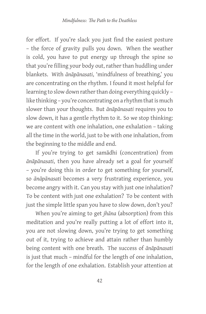for effort. If you're slack you just find the easiest posture – the force of gravity pulls you down. When the weather is cold, you have to put energy up through the spine so that you're filling your body out, rather than huddling under blankets. With *ānāpānasati*, 'mindfulness of breathing,' you are concentrating on the rhythm. I found it most helpful for learning to slow down rather than doing everything quickly – like thinking – you're concentrating on a rhythm that is much slower than your thoughts. But *ānāpānasati* requires you to slow down, it has a gentle rhythm to it. So we stop thinking: we are content with one inhalation, one exhalation – taking all the time in the world, just to be with one inhalation, from the beginning to the middle and end.

If you're trying to get samādhi (concentration) from *ānāpānasati*, then you have already set a goal for yourself – you're doing this in order to get something for yourself, so *ānāpānasati* becomes a very frustrating experience, you become angry with it. Can you stay with just one inhalation? To be content with just one exhalation? To be content with just the simple little span you have to slow down, don't you?

When you're aiming to get *jhāna* (absorption) from this meditation and you're really putting a lot of effort into it, you are not slowing down, you're trying to get something out of it, trying to achieve and attain rather than humbly being content with one breath. The success of *ānāpānasati* is just that much – mindful for the length of one inhalation, for the length of one exhalation. Establish your attention at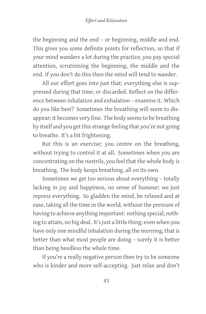#### *Effort and Relaxation*

the beginning and the end – or beginning, middle and end. This gives you some definite points for reflection, so that if your mind wanders a lot during the practice, you pay special attention, scrutinising the beginning, the middle and the end. If you don't do this then the mind will tend to wander.

All our effort goes into just that; everything else is suppressed during that time, or discarded. Reflect on the difference between inhalation and exhalation – examine it. Which do you like best? Sometimes the breathing will seem to disappear; it becomes very fine. The body seems to be breathing by itself and you get this strange feeling that you're not going to breathe. It's a bit frightening.

But this is an exercise; you centre on the breathing, without trying to control it at all. Sometimes when you are concentrating on the nostrils, you feel that the whole body is breathing. The body keeps breathing, all on its own.

Sometimes we get too serious about everything – totally lacking in joy and happiness, no sense of humour; we just repress everything. So gladden the mind, be relaxed and at ease, taking all the time in the world, without the pressure of having to achieve anything important: nothing special, nothing to attain, no big deal. It's just a little thing; even when you have only one mindful inhalation during the morning, that is better than what most people are doing – surely it is better than being heedless the whole time.

If you're a really negative person then try to be someone who is kinder and more self-accepting. Just relax and don't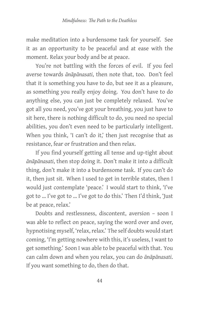make meditation into a burdensome task for yourself. See it as an opportunity to be peaceful and at ease with the moment. Relax your body and be at peace.

You're not battling with the forces of evil. If you feel averse towards *ānāpānasati*, then note that, too. Don't feel that it is something you have to do, but see it as a pleasure, as something you really enjoy doing. You don't have to do anything else, you can just be completely relaxed. You've got all you need, you've got your breathing, you just have to sit here, there is nothing difficult to do, you need no special abilities, you don't even need to be particularly intelligent. When you think, 'I can't do it,' then just recognise that as resistance, fear or frustration and then relax.

If you find yourself getting all tense and up-tight about *ānāpānasati*, then stop doing it. Don't make it into a difficult thing, don't make it into a burdensome task. If you can't do it, then just sit. When I used to get in terrible states, then I would just contemplate 'peace.' I would start to think, 'I've got to … I've got to … I've got to do this.' Then I'd think, 'Just be at peace, relax.'

Doubts and restlessness, discontent, aversion – soon I was able to reflect on peace, saying the word over and over, hypnotising myself, 'relax, relax.' The self doubts would start coming, 'I'm getting nowhere with this, it's useless, I want to get something.' Soon I was able to be peaceful with that. You can calm down and when you relax, you can do *ānāpānasati*. If you want something to do, then do that.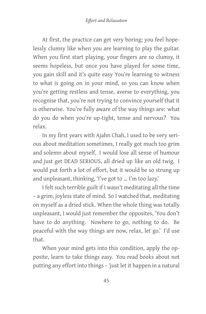#### *Effort and Relaxation*

At first, the practice can get very boring; you feel hopelessly clumsy like when you are learning to play the guitar. When you first start playing, your fingers are so clumsy, it seems hopeless, but once you have played for some time, you gain skill and it's quite easy You're learning to witness to what is going on in your mind, so you can know when you're getting restless and tense, averse to everything, you recognise that, you're not trying to convince yourself that it is otherwise. You're fully aware of the way things are: what do you do when you're up-tight, tense and nervous? You relax.

In my first years with Ajahn Chah, I used to be very serious about meditation sometimes, I really got much too grim and solemn about myself. I would lose all sense of humour and just get DEAD SERIOUS, all dried up like an old twig. I would put forth a lot of effort, but it would be so strung up and unpleasant, thinking, 'I've got to … I'm too lazy.'

I felt such terrible guilt if I wasn't meditating all the time – a grim, joyless state of mind. So I watched that, meditating on myself as a dried stick. When the whole thing was totally unpleasant, I would just remember the opposites, 'You don't have to do anything. Nowhere to go, nothing to do. Be peaceful with the way things are now, relax, let go.' I'd use that.

When your mind gets into this condition, apply the opposite, learn to take things easy. You read books about not putting any effort into things – 'just let it happen in a natural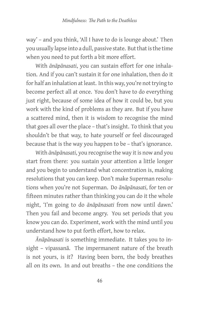way' – and you think, 'All I have to do is lounge about.' Then you usually lapse into a dull, passive state. But that is the time when you need to put forth a bit more effort.

With *ānāpānasati*, you can sustain effort for one inhalation. And if you can't sustain it for one inhalation, then do it for half an inhalation at least. In this way, you're not trying to become perfect all at once. You don't have to do everything just right, because of some idea of how it could be, but you work with the kind of problems as they are. But if you have a scattered mind, then it is wisdom to recognise the mind that goes all over the place – that's insight. To think that you shouldn't be that way, to hate yourself or feel discouraged because that is the way you happen to be – that's ignorance.

With *ānāpānasati*, you recognise the way it is now and you start from there: you sustain your attention a little longer and you begin to understand what concentration is, making resolutions that you can keep. Don't make Superman resolutions when you're not Superman. Do *ānāpānasati*, for ten or fifteen minutes rather than thinking you can do it the whole night, 'I'm going to do *ānāpānasati* from now until dawn.' Then you fail and become angry. You set periods that you know you can do. Experiment, work with the mind until you understand how to put forth effort, how to relax.

*Ānāpānasati* is something immediate. It takes you to insight – vipassanā. The impermanent nature of the breath is not yours, is it? Having been born, the body breathes all on its own. In and out breaths – the one conditions the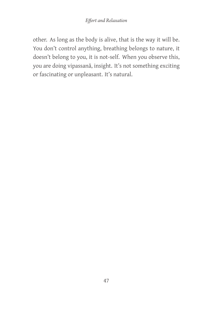other. As long as the body is alive, that is the way it will be. You don't control anything, breathing belongs to nature, it doesn't belong to you, it is not-self. When you observe this, you are doing vipassanā, insight. It's not something exciting or fascinating or unpleasant. It's natural.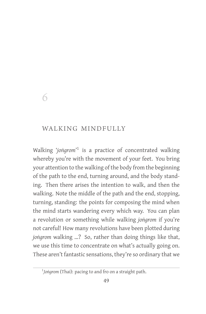### WALKING MINDFULLY

6

Walking '*joṅgrom*' <sup>1</sup> is a practice of concentrated walking whereby you're with the movement of your feet. You bring your attention to the walking of the body from the beginning of the path to the end, turning around, and the body standing. Then there arises the intention to walk, and then the walking. Note the middle of the path and the end, stopping, turning, standing: the points for composing the mind when the mind starts wandering every which way. You can plan a revolution or something while walking *joṅgrom* if you're not careful! How many revolutions have been plotted during *joṅgrom* walking …? So, rather than doing things like that, we use this time to concentrate on what's actually going on. These aren't fantastic sensations, they're so ordinary that we

<sup>1</sup> *Joṅgrom* (Thai): pacing to and fro on a straight path.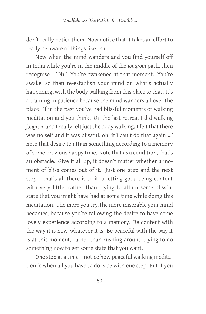don't really notice them. Now notice that it takes an effort to really be aware of things like that.

Now when the mind wanders and you find yourself off in India while you're in the middle of the *joṅgrom* path, then recognise – 'Oh!' You're awakened at that moment. You're awake, so then re-establish your mind on what's actually happening, with the body walking from this place to that. It's a training in patience because the mind wanders all over the place. If in the past you've had blissful moments of walking meditation and you think, 'On the last retreat I did walking *joṅgrom* and I really felt just the body walking. I felt that there was no self and it was blissful, oh, if I can't do that again …' note that desire to attain something according to a memory of some previous happy time. Note that as a condition; that's an obstacle. Give it all up, it doesn't matter whether a moment of bliss comes out of it. Just one step and the next step – that's all there is to it, a letting go, a being content with very little, rather than trying to attain some blissful state that you might have had at some time while doing this meditation. The more you try, the more miserable your mind becomes, because you're following the desire to have some lovely experience according to a memory. Be content with the way it is now, whatever it is. Be peaceful with the way it is at this moment, rather than rushing around trying to do something now to get some state that you want.

One step at a time – notice how peaceful walking meditation is when all you have to do is be with one step. But if you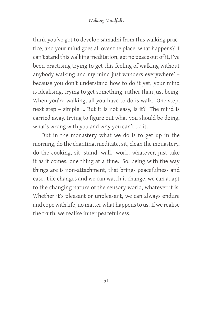think you've got to develop samādhi from this walking practice, and your mind goes all over the place, what happens? 'I can't stand this walking meditation, get no peace out of it, I've been practising trying to get this feeling of walking without anybody walking and my mind just wanders everywhere' – because you don't understand how to do it yet, your mind is idealising, trying to get something, rather than just being. When you're walking, all you have to do is walk. One step, next step – simple … But it is not easy, is it? The mind is carried away, trying to figure out what you should be doing, what's wrong with you and why you can't do it.

But in the monastery what we do is to get up in the morning, do the chanting, meditate, sit, clean the monastery, do the cooking, sit, stand, walk, work; whatever, just take it as it comes, one thing at a time. So, being with the way things are is non-attachment, that brings peacefulness and ease. Life changes and we can watch it change, we can adapt to the changing nature of the sensory world, whatever it is. Whether it's pleasant or unpleasant, we can always endure and cope with life, no matter what happens to us. If we realise the truth, we realise inner peacefulness.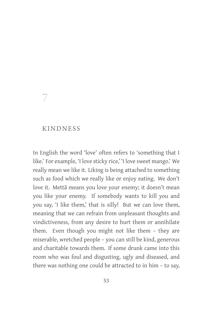### KINDNESS

7

In English the word 'love' often refers to 'something that I like.' For example, 'I love sticky rice,' 'I love sweet mango.' We really mean we like it. Liking is being attached to something such as food which we really like or enjoy eating. We don't love it. Mettā means you love your enemy; it doesn't mean you like your enemy. If somebody wants to kill you and you say, 'I like them,' that is silly! But we can love them, meaning that we can refrain from unpleasant thoughts and vindictiveness, from any desire to hurt them or annihilate them. Even though you might not like them – they are miserable, wretched people – you can still be kind, generous and charitable towards them. If some drunk came into this room who was foul and disgusting, ugly and diseased, and there was nothing one could be attracted to in him – to say,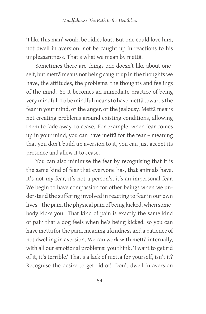'I like this man' would be ridiculous. But one could love him, not dwell in aversion, not be caught up in reactions to his unpleasantness. That's what we mean by mettā.

Sometimes there are things one doesn't like about oneself, but mettā means not being caught up in the thoughts we have, the attitudes, the problems, the thoughts and feelings of the mind. So it becomes an immediate practice of being very mindful. To be mindful means to have mettā towards the fear in your mind, or the anger, or the jealousy. Mettā means not creating problems around existing conditions, allowing them to fade away, to cease. For example, when fear comes up in your mind, you can have mettā for the fear – meaning that you don't build up aversion to it, you can just accept its presence and allow it to cease.

You can also minimise the fear by recognising that it is the same kind of fear that everyone has, that animals have. It's not my fear, it's not a person's, it's an impersonal fear. We begin to have compassion for other beings when we understand the suffering involved in reacting to fear in our own lives – the pain, the physical pain of being kicked, when somebody kicks you. That kind of pain is exactly the same kind of pain that a dog feels when he's being kicked, so you can have mettā for the pain, meaning a kindness and a patience of not dwelling in aversion. We can work with mettā internally, with all our emotional problems: you think, 'I want to get rid of it, it's terrible.' That's a lack of mettā for yourself, isn't it? Recognise the desire-to-get-rid-of! Don't dwell in aversion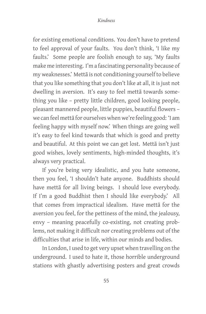#### *Kindness*

for existing emotional conditions. You don't have to pretend to feel approval of your faults. You don't think, 'I like my faults.' Some people are foolish enough to say, 'My faults make me interesting. I'm a fascinating personality because of my weaknesses.' Mettā is not conditioning yourself to believe that you like something that you don't like at all, it is just not dwelling in aversion. It's easy to feel mettā towards something you like – pretty little children, good looking people, pleasant mannered people, little puppies, beautiful flowers – we can feel mettā for ourselves when we're feeling good: 'I am feeling happy with myself now.' When things are going well it's easy to feel kind towards that which is good and pretty and beautiful. At this point we can get lost. Mettā isn't just good wishes, lovely sentiments, high-minded thoughts, it's always very practical.

If you're being very idealistic, and you hate someone, then you feel, 'I shouldn't hate anyone. Buddhists should have mettā for all living beings. I should love everybody. If I'm a good Buddhist then I should like everybody.' All that comes from impractical idealism. Have mettā for the aversion you feel, for the pettiness of the mind, the jealousy, envy – meaning peacefully co-existing, not creating problems, not making it difficult nor creating problems out of the difficulties that arise in life, within our minds and bodies.

In London, I used to get very upset when travelling on the underground. I used to hate it, those horrible underground stations with ghastly advertising posters and great crowds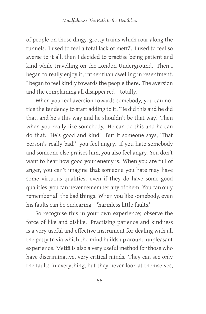of people on those dingy, grotty trains which roar along the tunnels. I used to feel a total lack of mettā. I used to feel so averse to it all, then I decided to practise being patient and kind while travelling on the London Underground. Then I began to really enjoy it, rather than dwelling in resentment. I began to feel kindly towards the people there. The aversion and the complaining all disappeared – totally.

When you feel aversion towards somebody, you can notice the tendency to start adding to it, 'He did this and he did that, and he's this way and he shouldn't be that way.' Then when you really like somebody, 'He can do this and he can do that. He's good and kind.' But if someone says, 'That person's really bad!' you feel angry. If you hate somebody and someone else praises him, you also feel angry. You don't want to hear how good your enemy is. When you are full of anger, you can't imagine that someone you hate may have some virtuous qualities; even if they do have some good qualities, you can never remember any of them. You can only remember all the bad things. When you like somebody, even his faults can be endearing – 'harmless little faults.'

So recognise this in your own experience; observe the force of like and dislike. Practising patience and kindness is a very useful and effective instrument for dealing with all the petty trivia which the mind builds up around unpleasant experience. Mettā is also a very useful method for those who have discriminative, very critical minds. They can see only the faults in everything, but they never look at themselves,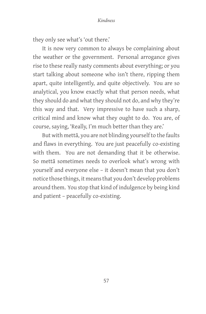they only see what's 'out there.'

It is now very common to always be complaining about the weather or the government. Personal arrogance gives rise to these really nasty comments about everything; or you start talking about someone who isn't there, ripping them apart, quite intelligently, and quite objectively. You are so analytical, you know exactly what that person needs, what they should do and what they should not do, and why they're this way and that. Very impressive to have such a sharp, critical mind and know what they ought to do. You are, of course, saying, 'Really, I'm much better than they are.'

But with mettā, you are not blinding yourself to the faults and flaws in everything. You are just peacefully co-existing with them. You are not demanding that it be otherwise. So mettā sometimes needs to overlook what's wrong with yourself and everyone else – it doesn't mean that you don't notice those things, it means that you don't develop problems around them. You stop that kind of indulgence by being kind and patient – peacefully co-existing.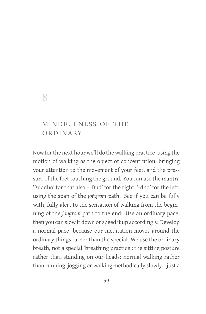# 8

## MINDFULNESS OF THE ORDINARY

Now for the next hour we'll do the walking practice, using the motion of walking as the object of concentration, bringing your attention to the movement of your feet, and the pressure of the feet touching the ground. You can use the mantra 'Buddho' for that also – 'Bud' for the right, '-dho' for the left, using the span of the *joṅgrom* path. See if you can be fully with, fully alert to the sensation of walking from the beginning of the *joṅgrom* path to the end. Use an ordinary pace, then you can slow it down or speed it up accordingly. Develop a normal pace, because our meditation moves around the ordinary things rather than the special. We use the ordinary breath, not a special 'breathing practice'; the sitting posture rather than standing on our heads; normal walking rather than running, jogging or walking methodically slowly – just a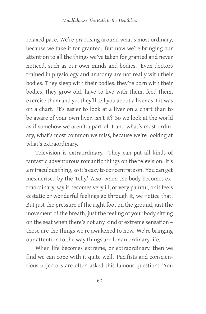relaxed pace. We're practising around what's most ordinary, because we take it for granted. But now we're bringing our attention to all the things we've taken for granted and never noticed, such as our own minds and bodies. Even doctors trained in physiology and anatomy are not really with their bodies. They sleep with their bodies, they're born with their bodies, they grow old, have to live with them, feed them, exercise them and yet they'll tell you about a liver as if it was on a chart. It's easier to look at a liver on a chart than to be aware of your own liver, isn't it? So we look at the world as if somehow we aren't a part of it and what's most ordinary, what's most common we miss, because we're looking at what's extraordinary.

Television is extraordinary. They can put all kinds of fantastic adventurous romantic things on the television. It's a miraculous thing, so it's easy to concentrate on. You can get mesmerised by the 'telly.' Also, when the body becomes extraordinary, say it becomes very ill, or very painful, or it feels ecstatic or wonderful feelings go through it, we notice that! But just the pressure of the right foot on the ground, just the movement of the breath, just the feeling of your body sitting on the seat when there's not any kind of extreme sensation – those are the things we're awakened to now. We're bringing our attention to the way things are for an ordinary life.

When life becomes extreme, or extraordinary, then we find we can cope with it quite well. Pacifists and conscientious objectors are often asked this famous question: 'You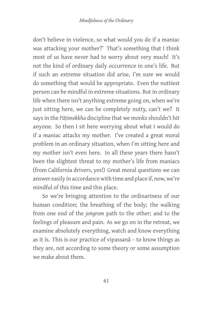don't believe in violence, so what would you do if a maniac was attacking your mother?' That's something that I think most of us have never had to worry about very much! It's not the kind of ordinary daily occurrence in one's life. But if such an extreme situation did arise, I'm sure we would do something that would be appropriate. Even the nuttiest person can be mindful in extreme situations. But in ordinary life when there isn't anything extreme going on, when we're just sitting here, we can be completely nutty, can't we? It says in the *Pāṭimokkha* discipline that we monks shouldn't hit anyone. So then I sit here worrying about what I would do if a maniac attacks my mother. I've created a great moral problem in an ordinary situation, when I'm sitting here and my mother isn't even here. In all these years there hasn't been the slightest threat to my mother's life from maniacs (from California drivers, yes!) Great moral questions we can answer easily in accordance with time and place if, now, we're mindful of this time and this place.

So we're bringing attention to the ordinariness of our human condition; the breathing of the body; the walking from one end of the *joṅgrom* path to the other; and to the feelings of pleasure and pain. As we go on in the retreat, we examine absolutely everything, watch and know everything as it is. This is our practice of vipassanā – to know things as they are, not according to some theory or some assumption we make about them.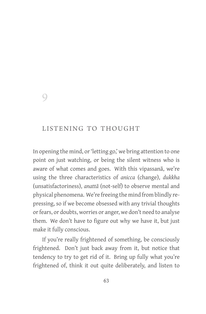### LISTENING TO THOUGHT

9

In opening the mind, or 'letting go,' we bring attention to one point on just watching, or being the silent witness who is aware of what comes and goes. With this vipassanā, we're using the three characteristics of *anicca* (change), *dukkha* (unsatisfactoriness), *anattā* (not-self) to observe mental and physical phenomena. We're freeing the mind from blindly repressing, so if we become obsessed with any trivial thoughts or fears, or doubts, worries or anger, we don't need to analyse them. We don't have to figure out why we have it, but just make it fully conscious.

If you're really frightened of something, be consciously frightened. Don't just back away from it, but notice that tendency to try to get rid of it. Bring up fully what you're frightened of, think it out quite deliberately, and listen to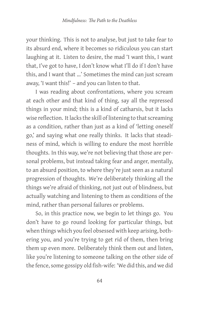your thinking. This is not to analyse, but just to take fear to its absurd end, where it becomes so ridiculous you can start laughing at it. Listen to desire, the mad 'I want this, I want that, I've got to have, I don't know what I'll do if I don't have this, and I want that …' Sometimes the mind can just scream away, 'I want this!' – and you can listen to that.

I was reading about confrontations, where you scream at each other and that kind of thing, say all the repressed things in your mind; this is a kind of catharsis, but it lacks wise reflection. It lacks the skill of listening to that screaming as a condition, rather than just as a kind of 'letting oneself go,' and saying what one really thinks. It lacks that steadiness of mind, which is willing to endure the most horrible thoughts. In this way, we're not believing that those are personal problems, but instead taking fear and anger, mentally, to an absurd position, to where they're just seen as a natural progression of thoughts. We're deliberately thinking all the things we're afraid of thinking, not just out of blindness, but actually watching and listening to them as conditions of the mind, rather than personal failures or problems.

So, in this practice now, we begin to let things go. You don't have to go round looking for particular things, but when things which you feel obsessed with keep arising, bothering you, and you're trying to get rid of them, then bring them up even more. Deliberately think them out and listen, like you're listening to someone talking on the other side of the fence, some gossipy old fish-wife: 'We did this, and we did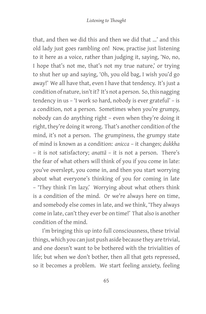that, and then we did this and then we did that …' and this old lady just goes rambling on! Now, practise just listening to it here as a voice, rather than judging it, saying, 'No, no, I hope that's not me, that's not my true nature,' or trying to shut her up and saying, 'Oh, you old bag, I wish you'd go away!' We all have that, even I have that tendency. It's just a condition of nature, isn't it? It's not a person. So, this nagging tendency in us – 'I work so hard, nobody is ever grateful' – is a condition, not a person. Sometimes when you're grumpy, nobody can do anything right – even when they're doing it right, they're doing it wrong. That's another condition of the mind, it's not a person. The grumpiness, the grumpy state of mind is known as a condition: *anicca* – it changes; *dukkha* – it is not satisfactory; *anattā* – it is not a person. There's the fear of what others will think of you if you come in late: you've overslept, you come in, and then you start worrying about what everyone's thinking of you for coming in late – 'They think I'm lazy.' Worrying about what others think is a condition of the mind. Or we're always here on time, and somebody else comes in late, and we think, 'They always come in late, can't they ever be on time!' That also is another condition of the mind.

I'm bringing this up into full consciousness, these trivial things, which you can just push aside because they are trivial, and one doesn't want to be bothered with the trivialities of life; but when we don't bother, then all that gets repressed, so it becomes a problem. We start feeling anxiety, feeling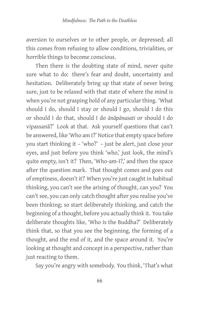aversion to ourselves or to other people, or depressed; all this comes from refusing to allow conditions, trivialities, or horrible things to become conscious.

Then there is the doubting state of mind, never quite sure what to do: there's fear and doubt, uncertainty and hesitation. Deliberately bring up that state of never being sure, just to be relaxed with that state of where the mind is when you're not grasping hold of any particular thing. 'What should I do, should I stay or should I go, should I do this or should I do that, should I do *ānāpānasati* or should I do vipassanā?' Look at that. Ask yourself questions that can't be answered, like 'Who am I?' Notice that empty space before you start thinking it – 'who?' – just be alert, just close your eyes, and just before you think 'who,' just look, the mind's quite empty, isn't it? Then, 'Who-am-I?,' and then the space after the question mark. That thought comes and goes out of emptiness, doesn't it? When you're just caught in habitual thinking, you can't see the arising of thought, can you? You can't see, you can only catch thought after you realise you've been thinking; so start deliberately thinking, and catch the beginning of a thought, before you actually think it. You take deliberate thoughts like, 'Who is the Buddha?' Deliberately think that, so that you see the beginning, the forming of a thought, and the end of it, and the space around it. You're looking at thought and concept in a perspective, rather than just reacting to them.

Say you're angry with somebody. You think, 'That's what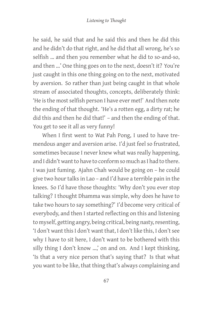he said, he said that and he said this and then he did this and he didn't do that right, and he did that all wrong, he's so selfish … and then you remember what he did to so-and-so, and then …' One thing goes on to the next, doesn't it? You're just caught in this one thing going on to the next, motivated by aversion. So rather than just being caught in that whole stream of associated thoughts, concepts, deliberately think: 'He is the most selfish person I have ever met!' And then note the ending of that thought. 'He's a rotten egg, a dirty rat; he did this and then he did that!' – and then the ending of that. You get to see it all as very funny!

When I first went to Wat Pah Pong, I used to have tremendous anger and aversion arise. I'd just feel so frustrated, sometimes because I never knew what was really happening, and I didn't want to have to conform so much as I had to there. I was just fuming. Ajahn Chah would be going on – he could give two hour talks in Lao – and I'd have a terrible pain in the knees. So I'd have those thoughts: 'Why don't you ever stop talking? I thought Dhamma was simple, why does he have to take two hours to say something?' I'd become very critical of everybody, and then I started reflecting on this and listening to myself, getting angry, being critical, being nasty, resenting, 'I don't want this I don't want that, I don't like this, I don't see why I have to sit here, I don't want to be bothered with this silly thing I don't know …,' on and on. And I kept thinking, 'Is that a very nice person that's saying that? Is that what you want to be like, that thing that's always complaining and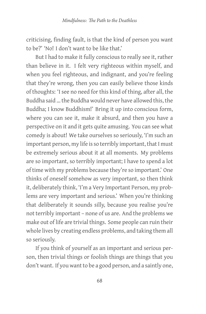criticising, finding fault, is that the kind of person you want to be?' 'No! I don't want to be like that.'

But I had to make it fully conscious to really see it, rather than believe in it. I felt very righteous within myself, and when you feel righteous, and indignant, and you're feeling that they're wrong, then you can easily believe those kinds of thoughts: 'I see no need for this kind of thing, after all, the Buddha said … the Buddha would never have allowed this, the Buddha; I know Buddhism!' Bring it up into conscious form, where you can see it, make it absurd, and then you have a perspective on it and it gets quite amusing. You can see what comedy is about! We take ourselves so seriously, 'I'm such an important person, my life is so terribly important, that I must be extremely serious about it at all moments. My problems are so important, so terribly important; I have to spend a lot of time with my problems because they're so important.' One thinks of oneself somehow as very important, so then think it, deliberately think, 'I'm a Very Important Person, my problems are very important and serious.' When you're thinking that deliberately it sounds silly, because you realise you're not terribly important – none of us are. And the problems we make out of life are trivial things. Some people can ruin their whole lives by creating endless problems, and taking them all so seriously.

If you think of yourself as an important and serious person, then trivial things or foolish things are things that you don't want. If you want to be a good person, and a saintly one,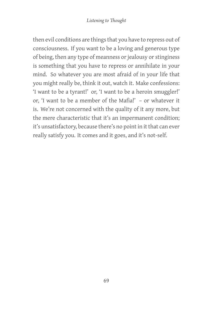then evil conditions are things that you have to repress out of consciousness. If you want to be a loving and generous type of being, then any type of meanness or jealousy or stinginess is something that you have to repress or annihilate in your mind. So whatever you are most afraid of in your life that you might really be, think it out, watch it. Make confessions: 'I want to be a tyrant!' or, 'I want to be a heroin smuggler!' or, 'I want to be a member of the Mafia!' – or whatever it is. We're not concerned with the quality of it any more, but the mere characteristic that it's an impermanent condition; it's unsatisfactory, because there's no point in it that can ever really satisfy you. It comes and it goes, and it's not-self.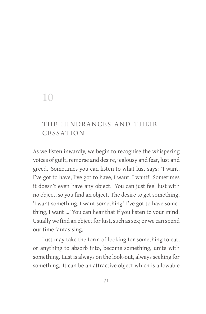# 10

# THE HINDRANCES AND THEIR CESSATION

As we listen inwardly, we begin to recognise the whispering voices of guilt, remorse and desire, jealousy and fear, lust and greed. Sometimes you can listen to what lust says: 'I want, I've got to have, I've got to have, I want, I want!' Sometimes it doesn't even have any object. You can just feel lust with no object, so you find an object. The desire to get something, 'I want something, I want something! I've got to have something, I want …' You can hear that if you listen to your mind. Usually we find an object for lust, such as sex; or we can spend our time fantasising.

Lust may take the form of looking for something to eat, or anything to absorb into, become something, unite with something. Lust is always on the look-out, always seeking for something. It can be an attractive object which is allowable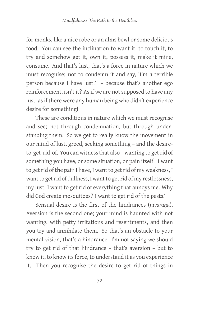for monks, like a nice robe or an alms bowl or some delicious food. You can see the inclination to want it, to touch it, to try and somehow get it, own it, possess it, make it mine, consume. And that's lust, that's a force in nature which we must recognise; not to condemn it and say, 'I'm a terrible person because I have lust!' – because that's another ego reinforcement, isn't it? As if we are not supposed to have any lust, as if there were any human being who didn't experience desire for something!

These are conditions in nature which we must recognise and see; not through condemnation, but through understanding them. So we get to really know the movement in our mind of lust, greed, seeking something – and the desireto-get-rid-of. You can witness that also – wanting to get rid of something you have, or some situation, or pain itself. 'I want to get rid of the pain I have, I want to get rid of my weakness, I want to get rid of dullness, I want to get rid of my restlessness, my lust. I want to get rid of everything that annoys me. Why did God create mosquitoes? I want to get rid of the pests.'

Sensual desire is the first of the hindrances (*nīvaraṇa*). Aversion is the second one; your mind is haunted with not wanting, with petty irritations and resentments, and then you try and annihilate them. So that's an obstacle to your mental vision, that's a hindrance. I'm not saying we should try to get rid of that hindrance – that's aversion – but to know it, to know its force, to understand it as you experience it. Then you recognise the desire to get rid of things in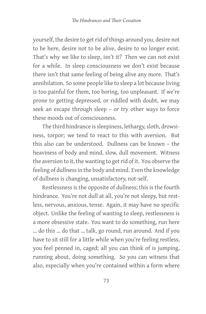yourself, the desire to get rid of things around you, desire not to be here, desire not to be alive, desire to no longer exist. That's why we like to sleep, isn't it? Then we can not exist for a while. In sleep consciousness we don't exist because there isn't that same feeling of being alive any more. That's annihilation. So some people like to sleep a lot because living is too painful for them, too boring, too unpleasant. If we're prone to getting depressed, or riddled with doubt, we may seek an escape through sleep – or try other ways to force these moods out of consciousness.

The third hindrance is sleepiness, lethargy, sloth, drowsiness, torpor; we tend to react to this with aversion. But this also can be understood. Dullness can be known – the heaviness of body and mind, slow, dull movement. Witness the aversion to it, the wanting to get rid of it. You observe the feeling of dullness in the body and mind. Even the knowledge of dullness is changing, unsatisfactory, not-self.

Restlessness is the opposite of dullness; this is the fourth hindrance. You're not dull at all, you're not sleepy, but restless, nervous, anxious, tense. Again, it may have no specific object. Unlike the feeling of wanting to sleep, restlessness is a more obsessive state. You want to do something, run here … do this … do that … talk, go round, run around. And if you have to sit still for a little while when you're feeling restless, you feel penned in, caged; all you can think of is jumping, running about, doing something. So you can witness that also, especially when you're contained within a form where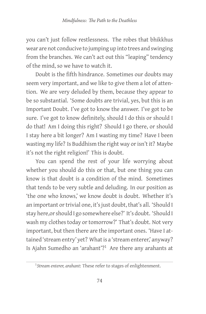you can't just follow restlessness. The robes that bhikkhus wear are not conducive to jumping up into trees and swinging from the branches. We can't act out this "leaping" tendency of the mind, so we have to watch it.

Doubt is the fifth hindrance. Sometimes our doubts may seem very important, and we like to give them a lot of attention. We are very deluded by them, because they appear to be so substantial. 'Some doubts are trivial, yes, but this is an Important Doubt. I've got to know the answer. I've got to be sure. I've got to know definitely, should I do this or should I do that! Am I doing this right? Should I go there, or should I stay here a bit longer? Am I wasting my time? Have I been wasting my life? Is Buddhism the right way or isn't it? Maybe it's not the right religion!' This is doubt.

You can spend the rest of your life worrying about whether you should do this or that, but one thing you can know is that doubt is a condition of the mind. Sometimes that tends to be very subtle and deluding. In our position as 'the one who knows,' we know doubt is doubt. Whether it's an important or trivial one, it's just doubt, that's all. 'Should I stay here,or should I go somewhere else?' It's doubt. 'Should I wash my clothes today or tomorrow?' That's doubt. Not very important, but then there are the important ones. 'Have I attained 'stream entry' yet? What is a 'stream enterer,' anyway? Is Ajahn Sumedho an 'arahant'?<sup>1</sup> Are there any arahants at

<sup>1</sup> *Stream enterer, arahant*: These refer to stages of enlightenment.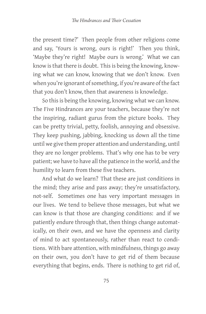the present time?' Then people from other religions come and say, 'Yours is wrong, ours is right!' Then you think, 'Maybe they're right! Maybe ours is wrong.' What we can know is that there is doubt. This is being the knowing, knowing what we can know, knowing that we don't know. Even when you're ignorant of something, if you're aware of the fact that you don't know, then that awareness is knowledge.

So this is being the knowing, knowing what we can know. The Five Hindrances are your teachers, because they're not the inspiring, radiant gurus from the picture books. They can be pretty trivial, petty, foolish, annoying and obsessive. They keep pushing, jabbing, knocking us down all the time until we give them proper attention and understanding, until they are no longer problems. That's why one has to be very patient; we have to have all the patience in the world, and the humility to learn from these five teachers.

And what do we learn? That these are just conditions in the mind; they arise and pass away; they're unsatisfactory, not-self. Sometimes one has very important messages in our lives. We tend to believe those messages, but what we can know is that those are changing conditions: and if we patiently endure through that, then things change automatically, on their own, and we have the openness and clarity of mind to act spontaneously, rather than react to conditions. With bare attention, with mindfulness, things go away on their own, you don't have to get rid of them because everything that begins, ends. There is nothing to get rid of,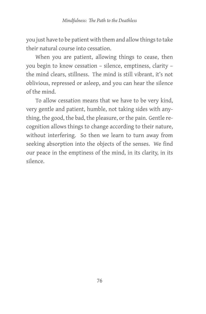you just have to be patient with them and allow things to take their natural course into cessation.

When you are patient, allowing things to cease, then you begin to know cessation – silence, emptiness, clarity – the mind clears, stillness. The mind is still vibrant, it's not oblivious, repressed or asleep, and you can hear the silence of the mind.

To allow cessation means that we have to be very kind, very gentle and patient, humble, not taking sides with anything, the good, the bad, the pleasure, or the pain. Gentle recognition allows things to change according to their nature, without interfering. So then we learn to turn away from seeking absorption into the objects of the senses. We find our peace in the emptiness of the mind, in its clarity, in its silence.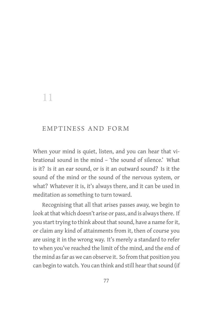## 11

### EMPTINESS AND FORM

When your mind is quiet, listen, and you can hear that vibrational sound in the mind – 'the sound of silence.' What is it? Is it an ear sound, or is it an outward sound? Is it the sound of the mind or the sound of the nervous system, or what? Whatever it is, it's always there, and it can be used in meditation as something to turn toward.

Recognising that all that arises passes away, we begin to look at that which doesn't arise or pass, and is always there. If you start trying to think about that sound, have a name for it, or claim any kind of attainments from it, then of course you are using it in the wrong way. It's merely a standard to refer to when you've reached the limit of the mind, and the end of the mind as far as we can observe it. So from that position you can begin to watch. You can think and still hear that sound (if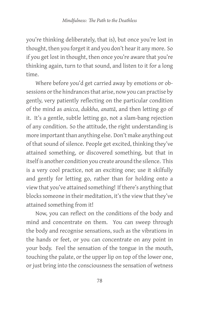you're thinking deliberately, that is), but once you're lost in thought, then you forget it and you don't hear it any more. So if you get lost in thought, then once you're aware that you're thinking again, turn to that sound, and listen to it for a long time.

Where before you'd get carried away by emotions or obsessions or the hindrances that arise, now you can practise by gently, very patiently reflecting on the particular condition of the mind as *anicca*, *dukkha*, *anattā*, and then letting go of it. It's a gentle, subtle letting go, not a slam-bang rejection of any condition. So the attitude, the right understanding is more important than anything else. Don't make anything out of that sound of silence. People get excited, thinking they've attained something, or discovered something, but that in itself is another condition you create around the silence. This is a very cool practice, not an exciting one; use it skilfully and gently for letting go, rather than for holding onto a view that you've attained something! If there's anything that blocks someone in their meditation, it's the view that they've attained something from it!

Now, you can reflect on the conditions of the body and mind and concentrate on them. You can sweep through the body and recognise sensations, such as the vibrations in the hands or feet, or you can concentrate on any point in your body. Feel the sensation of the tongue in the mouth, touching the palate, or the upper lip on top of the lower one, or just bring into the consciousness the sensation of wetness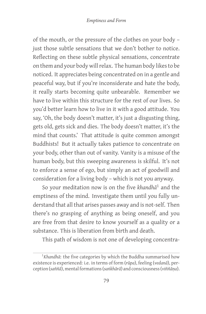of the mouth, or the pressure of the clothes on your body – just those subtle sensations that we don't bother to notice. Reflecting on these subtle physical sensations, concentrate on them and your body will relax. The human body likes to be noticed. It appreciates being concentrated on in a gentle and peaceful way, but if you're inconsiderate and hate the body, it really starts becoming quite unbearable. Remember we have to live within this structure for the rest of our lives. So you'd better learn how to live in it with a good attitude. You say, 'Oh, the body doesn't matter, it's just a disgusting thing, gets old, gets sick and dies. The body doesn't matter, it's the mind that counts.' That attitude is quite common amongst Buddhists! But it actually takes patience to concentrate on your body, other than out of vanity. Vanity is a misuse of the human body, but this sweeping awareness is skilful. It's not to enforce a sense of ego, but simply an act of goodwill and consideration for a living body – which is not you anyway.

So your meditation now is on the five *khandhā*<sup>1</sup> and the emptiness of the mind. Investigate them until you fully understand that all that arises passes away and is not-self. Then there's no grasping of anything as being oneself, and you are free from that desire to know yourself as a quality or a substance. This is liberation from birth and death.

This path of wisdom is not one of developing concentra-

<sup>1</sup> *Khandhā*: the five categories by which the Buddha summarised how existence is experienced: i.e. in terms of form (*rūpa*), feeling (*vedanā*), perception (*saññā*), mental formations (*saṅkhārā*) and consciousness (*viññāṇa*).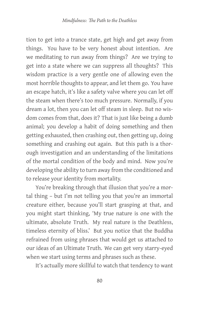tion to get into a trance state, get high and get away from things. You have to be very honest about intention. Are we meditating to run away from things? Are we trying to get into a state where we can suppress all thoughts? This wisdom practice is a very gentle one of allowing even the most horrible thoughts to appear, and let them go. You have an escape hatch, it's like a safety valve where you can let off the steam when there's too much pressure. Normally, if you dream a lot, then you can let off steam in sleep. But no wisdom comes from that, does it? That is just like being a dumb animal; you develop a habit of doing something and then getting exhausted, then crashing out, then getting up, doing something and crashing out again. But this path is a thorough investigation and an understanding of the limitations of the mortal condition of the body and mind. Now you're developing the ability to turn away from the conditioned and to release your identity from mortality.

You're breaking through that illusion that you're a mortal thing – but I'm not telling you that you're an immortal creature either, because you'll start grasping at that, and you might start thinking, 'My true nature is one with the ultimate, absolute Truth. My real nature is the Deathless, timeless eternity of bliss.' But you notice that the Buddha refrained from using phrases that would get us attached to our ideas of an Ultimate Truth. We can get very starry-eyed when we start using terms and phrases such as these.

It's actually more skillful to watch that tendency to want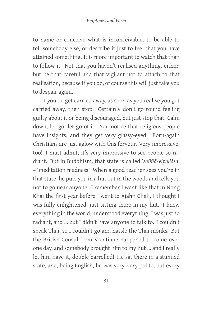to name or conceive what is inconceivable, to be able to tell somebody else, or describe it just to feel that you have attained something. It is more important to watch that than to follow it. Not that you haven't realised anything, either, but be that careful and that vigilant not to attach to that realisation, because if you do, of course this will just take you to despair again.

If you do get carried away, as soon as you realise you got carried away, then stop. Certainly don't go round feeling guilty about it or being discouraged, but just stop that. Calm down, let go, let go of it. You notice that religious people have insights, and they get very glassy-eyed. Born-again Christians are just aglow with this fervour. Very impressive, too! I must admit, it's very impressive to see people so radiant. But in Buddhism, that state is called '*saññā-vipallāsa*' – 'meditation madness.' When a good teacher sees you're in that state, he puts you in a hut out in the woods and tells you not to go near anyone! I remember I went like that in Nong Khai the first year before I went to Ajahn Chah, I thought I was fully enlightened, just sitting there in my hut. I knew everything in the world, understood everything. I was just so radiant, and … but I didn't have anyone to talk to. I couldn't speak Thai, so I couldn't go and hassle the Thai monks. But the British Consul from Vientiane happened to come over one day, and somebody brought him to my hut … and I really let him have it, double barrelled! He sat there in a stunned state, and, being English, he was very, very polite, but every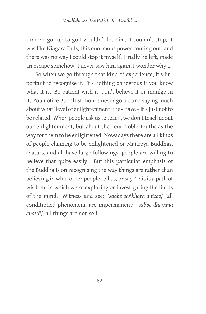time he got up to go I wouldn't let him. I couldn't stop, it was like Niagara Falls, this enormous power coming out, and there was no way I could stop it myself. Finally he left, made an escape somehow: I never saw him again, I wonder why …

So when we go through that kind of experience, it's important to recognise it. It's nothing dangerous if you know what it is. Be patient with it, don't believe it or indulge in it. You notice Buddhist monks never go around saying much about what 'level of enlightenment' they have – it's just not to be related. When people ask us to teach, we don't teach about our enlightenment, but about the Four Noble Truths as the way for them to be enlightened. Nowadays there are all kinds of people claiming to be enlightened or Maitreya Buddhas, avatars, and all have large followings; people are willing to believe that quite easily! But this particular emphasis of the Buddha is on recognising the way things are rather than believing in what other people tell us, or say. This is a path of wisdom, in which we're exploring or investigating the limits of the mind. Witness and see: '*sabbe saṅkhārā aniccā*,' 'all conditioned phenomena are impermanent;' '*sabbe dhammā anattā*,' 'all things are not-self.'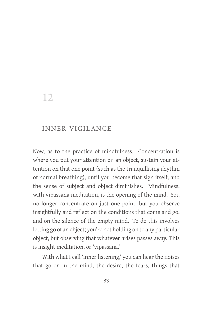# 12

### INNER VIGILANCE

Now, as to the practice of mindfulness. Concentration is where you put your attention on an object, sustain your attention on that one point (such as the tranquillising rhythm of normal breathing), until you become that sign itself, and the sense of subject and object diminishes. Mindfulness, with vipassanā meditation, is the opening of the mind. You no longer concentrate on just one point, but you observe insightfully and reflect on the conditions that come and go, and on the silence of the empty mind. To do this involves letting go of an object; you're not holding on to any particular object, but observing that whatever arises passes away. This is insight meditation, or 'vipassanā.'

With what I call 'inner listening,' you can hear the noises that go on in the mind, the desire, the fears, things that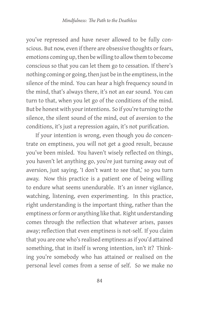you've repressed and have never allowed to be fully conscious. But now, even if there are obsessive thoughts or fears, emotions coming up, then be willing to allow them to become conscious so that you can let them go to cessation. If there's nothing coming or going, then just be in the emptiness, in the silence of the mind. You can hear a high frequency sound in the mind, that's always there, it's not an ear sound. You can turn to that, when you let go of the conditions of the mind. But be honest with your intentions. So if you're turning to the silence, the silent sound of the mind, out of aversion to the conditions, it's just a repression again, it's not purification.

If your intention is wrong, even though you do concentrate on emptiness, you will not get a good result, because you've been misled. You haven't wisely reflected on things, you haven't let anything go, you're just turning away out of aversion, just saying, 'I don't want to see that,' so you turn away. Now this practice is a patient one of being willing to endure what seems unendurable. It's an inner vigilance, watching, listening, even experimenting. In this practice, right understanding is the important thing, rather than the emptiness or form or anything like that. Right understanding comes through the reflection that whatever arises, passes away; reflection that even emptiness is not-self. If you claim that you are one who's realised emptiness as if you'd attained something, that in itself is wrong intention, isn't it? Thinking you're somebody who has attained or realised on the personal level comes from a sense of self. So we make no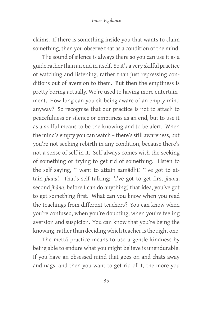#### **Inner Vigilance**

claims. If there is something inside you that wants to claim something, then you observe that as a condition of the mind.

The sound of silence is always there so you can use it as a guide rather than an end in itself. So it's a very skilful practice of watching and listening, rather than just repressing conditions out of aversion to them. But then the emptiness is pretty boring actually. We're used to having more entertainment. How long can you sit being aware of an empty mind anyway? So recognise that our practice is not to attach to peacefulness or silence or emptiness as an end, but to use it as a skilful means to be the knowing and to be alert. When the mind's empty you can watch – there's still awareness, but you're not seeking rebirth in any condition, because there's not a sense of self in it. Self always comes with the seeking of something or trying to get rid of something. Listen to the self saying, 'I want to attain samādhi,' 'I've got to attain *jhāna*.' That's self talking: 'I've got to get first *jhāna*, second *jhāna*, before I can do anything,' that idea, you've got to get something first. What can you know when you read the teachings from different teachers? You can know when you're confused, when you're doubting, when you're feeling aversion and suspicion. You can know that you're being the knowing, rather than deciding which teacher is the right one.

The mettā practice means to use a gentle kindness by being able to endure what you might believe is unendurable. If you have an obsessed mind that goes on and chats away and nags, and then you want to get rid of it, the more you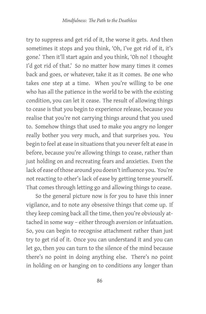try to suppress and get rid of it, the worse it gets. And then sometimes it stops and you think, 'Oh, I've got rid of it, it's gone.' Then it'll start again and you think, 'Oh no! I thought I'd got rid of that.' So no matter how many times it comes back and goes, or whatever, take it as it comes. Be one who takes one step at a time. When you're willing to be one who has all the patience in the world to be with the existing condition, you can let it cease. The result of allowing things to cease is that you begin to experience release, because you realise that you're not carrying things around that you used to. Somehow things that used to make you angry no longer really bother you very much, and that surprises you. You begin to feel at ease in situations that you never felt at ease in before, because you're allowing things to cease, rather than just holding on and recreating fears and anxieties. Even the lack of ease of those around you doesn't influence you. You're not reacting to other's lack of ease by getting tense yourself. That comes through letting go and allowing things to cease.

So the general picture now is for you to have this inner vigilance, and to note any obsessive things that come up. If they keep coming back all the time, then you're obviously attached in some way – either through aversion or infatuation. So, you can begin to recognise attachment rather than just try to get rid of it. Once you can understand it and you can let go, then you can turn to the silence of the mind because there's no point in doing anything else. There's no point in holding on or hanging on to conditions any longer than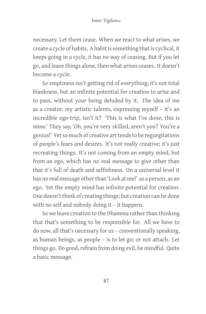necessary. Let them cease. When we react to what arises, we create a cycle of habits. A habit is something that is cyclical, it keeps going in a cycle, it has no way of ceasing. But if you let go, and leave things alone, then what arises ceases. It doesn't become a cycle.

So emptiness isn't getting rid of everything; it's not total blankness, but an infinite potential for creation to arise and to pass, without your being deluded by it. The idea of me as a creator, my artistic talents, expressing myself – it's an incredible ego-trip, isn't it? 'This is what I've done, this is mine.' They say, 'Oh, you're very skilled, aren't you? You're a genius!' Yet so much of creative art tends to be regurgitations of people's fears and desires. It's not really creative; it's just recreating things. It's not coming from an empty mind, but from an ego, which has no real message to give other than that it's full of death and selfishness. On a universal level it has no real message other than 'Look at me!' as a person, as an ego. Yet the empty mind has infinite potential for creation. One doesn't think of creating things; but creation can be done with no self and nobody doing it – it happens.

So we leave creation to the Dhamma rather than thinking that that's something to be responsible for. All we have to do now, all that's necessary for us – conventionally speaking, as human beings, as people – is to let go; or not attach. Let things go. Do good, refrain from doing evil, be mindful. Quite a basic message.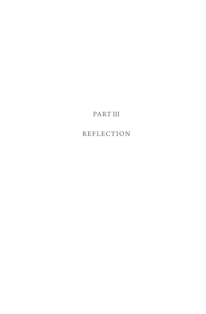## PART III

## REFLECTION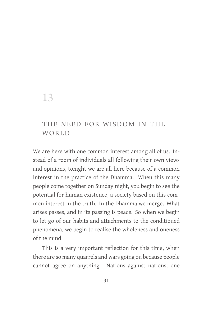# 13

## THE NEED FOR WISDOM IN THE WORLD

We are here with one common interest among all of us. Instead of a room of individuals all following their own views and opinions, tonight we are all here because of a common interest in the practice of the Dhamma. When this many people come together on Sunday night, you begin to see the potential for human existence, a society based on this common interest in the truth. In the Dhamma we merge. What arises passes, and in its passing is peace. So when we begin to let go of our habits and attachments to the conditioned phenomena, we begin to realise the wholeness and oneness of the mind.

This is a very important reflection for this time, when there are so many quarrels and wars going on because people cannot agree on anything. Nations against nations, one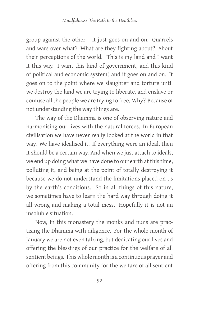group against the other – it just goes on and on. Quarrels and wars over what? What are they fighting about? About their perceptions of the world. 'This is my land and I want it this way. I want this kind of government, and this kind of political and economic system,' and it goes on and on. It goes on to the point where we slaughter and torture until we destroy the land we are trying to liberate, and enslave or confuse all the people we are trying to free. Why? Because of not understanding the way things are.

The way of the Dhamma is one of observing nature and harmonising our lives with the natural forces. In European civilisation we have never really looked at the world in that way. We have idealised it. If everything were an ideal, then it should be a certain way. And when we just attach to ideals, we end up doing what we have done to our earth at this time, polluting it, and being at the point of totally destroying it because we do not understand the limitations placed on us by the earth's conditions. So in all things of this nature, we sometimes have to learn the hard way through doing it all wrong and making a total mess. Hopefully it is not an insoluble situation.

Now, in this monastery the monks and nuns are practising the Dhamma with diligence. For the whole month of January we are not even talking, but dedicating our lives and offering the blessings of our practice for the welfare of all sentient beings. This whole month is a continuous prayer and offering from this community for the welfare of all sentient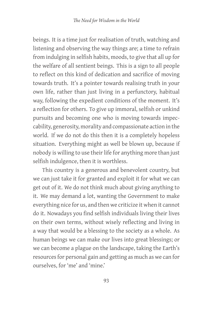beings. It is a time just for realisation of truth, watching and listening and observing the way things are; a time to refrain from indulging in selfish habits, moods, to give that all up for the welfare of all sentient beings. This is a sign to all people to reflect on this kind of dedication and sacrifice of moving towards truth. It's a pointer towards realising truth in your own life, rather than just living in a perfunctory, habitual way, following the expedient conditions of the moment. It's a reflection for others. To give up immoral, selfish or unkind pursuits and becoming one who is moving towards impeccability, generosity, morality and compassionate action in the world. If we do not do this then it is a completely hopeless situation. Everything might as well be blown up, because if nobody is willing to use their life for anything more than just selfish indulgence, then it is worthless.

This country is a generous and benevolent country, but we can just take it for granted and exploit it for what we can get out of it. We do not think much about giving anything to it. We may demand a lot, wanting the Government to make everything nice for us, and then we criticize it when it cannot do it. Nowadays you find selfish individuals living their lives on their own terms, without wisely reflecting and living in a way that would be a blessing to the society as a whole. As human beings we can make our lives into great blessings; or we can become a plague on the landscape, taking the Earth's resources for personal gain and getting as much as we can for ourselves, for 'me' and 'mine.'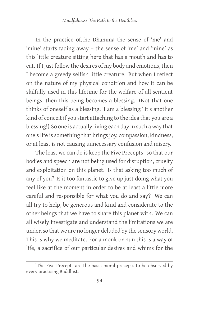In the practice of.the Dhamma the sense of 'me' and 'mine' starts fading away – the sense of 'me' and 'mine' as this little creature sitting here that has a mouth and has to eat. If I just follow the desires of my body and emotions, then I become a greedy selfish little creature. But when I reflect on the nature of my physical condition and how it can be skilfully used in this lifetime for the welfare of all sentient beings, then this being becomes a blessing. (Not that one thinks of oneself as a blessing, 'I am a blessing;' it's another kind of conceit if you start attaching to the idea that you are a blessing!) So one is actually living each day in such a way that one's life is something that brings joy, compassion, kindness, or at least is not causing unnecessary confusion and misery.

The least we can do is keep the Five Precepts<sup>1</sup> so that our bodies and speech are not being used for disruption, cruelty and exploitation on this planet. Is that asking too much of any of you? Is it too fantastic to give up just doing what you feel like at the moment in order to be at least a little more careful and responsible for what you do and say? We can all try to help, be generous and kind and considerate to the other beings that we have to share this planet with. We can all wisely investigate and understand the limitations we are under, so that we are no longer deluded by the sensory world. This is why we meditate. For a monk or nun this is a way of life, a sacrifice of our particular desires and whims for the

<sup>&</sup>lt;sup>1</sup>The Five Precepts are the basic moral precepts to be observed by every practising Buddhist.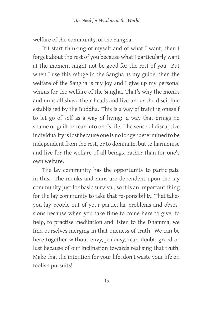welfare of the community, of the Sangha.

If I start thinking of myself and of what I want, then I forget about the rest of you because what I particularly want at the moment might not be good for the rest of you. But when I use this refuge in the Sangha as my guide, then the welfare of the Sangha is my joy and I give up my personal whims for the welfare of the Sangha. That's why the monks and nuns all shave their heads and live under the discipline established by the Buddha. This is a way of training oneself to let go of self as a way of living: a way that brings no shame or guilt or fear into one's life. The sense of disruptive individuality is lost because one is no longer determined to be independent from the rest, or to dominate, but to harmonise and live for the welfare of all beings, rather than for one's own welfare.

The lay community has the opportunity to participate in this. The monks and nuns are dependent upon the lay community just for basic survival, so it is an important thing for the lay community to take that responsibility. That takes you lay people out of your particular problems and obsessions because when you take time to come here to give, to help, to practise meditation and listen to the Dhamma, we find ourselves merging in that oneness of truth. We can be here together without envy, jealousy, fear, doubt, greed or lust because of our inclination towards realising that truth. Make that the intention for your life; don't waste your life on foolish pursuits!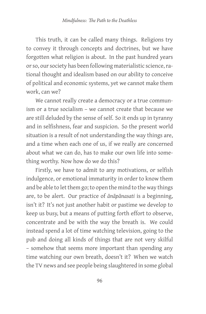This truth, it can be called many things. Religions try to convey it through concepts and doctrines, but we have forgotten what religion is about. In the past hundred years or so, our society has been following materialistic science, rational thought and idealism based on our ability to conceive of political and economic systems, yet we cannot make them work, can we?

We cannot really create a democracy or a true communism or a true socialism – we cannot create that because we are still deluded by the sense of self. So it ends up in tyranny and in selfishness, fear and suspicion. So the present world situation is a result of not understanding the way things are, and a time when each one of us, if we really are concerned about what we can do, has to make our own life into something worthy. Now how do we do this?

Firstly, we have to admit to any motivations, or selfish indulgence, or emotional immaturity in order to know them and be able to let them go; to open the mind to the way things are, to be alert. Our practice of *ānāpānasati* is a beginning, isn't it? It's not just another habit or pastime we develop to keep us busy, but a means of putting forth effort to observe, concentrate and be with the way the breath is. We could instead spend a lot of time watching television, going to the pub and doing all kinds of things that are not very skilful – somehow that seems more important than spending any time watching our own breath, doesn't it? When we watch the TV news and see people being slaughtered in some global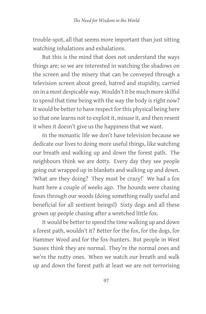trouble-spot, all that seems more important than just sitting watching inhalations and exhalations.

But this is the mind that does not understand the ways things are; so we are interested in watching the shadows on the screen and the misery that can be conveyed through a television screen about greed, hatred and stupidity, carried on in a most despicable way. Wouldn't it be much more skilful to spend that time being with the way the body is right now? It would be better to have respect for this physical being here so that one learns not to exploit it, misuse it, and then resent it when it doesn't give us the happiness that we want.

In the monastic life we don't have television because we dedicate our lives to doing more useful things, like watching our breath and walking up and down the forest path. The neighbours think we are dotty. Every day they see people going out wrapped up in blankets and walking up and down. 'What are they doing? They must be crazy!' We had a fox hunt here a couple of weeks ago. The hounds were chasing foxes through our woods (doing something really useful and beneficial for all sentient beings!) Sixty dogs and all these grown up people chasing after a wretched little fox.

It would be better to spend the time walking up and down a forest path, wouldn't it? Better for the fox, for the dogs, for Hammer Wood and for the fox-hunters. But people in West Sussex think they are normal. They're the normal ones and we're the nutty ones. When we watch our breath and walk up and down the forest path at least we are not terrorising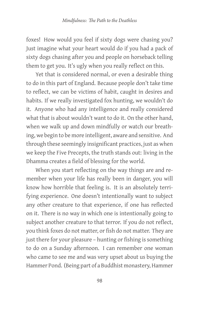foxes! How would you feel if sixty dogs were chasing you? Just imagine what your heart would do if you had a pack of sixty dogs chasing after you and people on horseback telling them to get you. It's ugly when you really reflect on this.

Yet that is considered normal, or even a desirable thing to do in this part of England. Because people don't take time to reflect, we can be victims of habit, caught in desires and habits. If we really investigated fox hunting, we wouldn't do it. Anyone who had any intelligence and really considered what that is about wouldn't want to do it. On the other hand, when we walk up and down mindfully or watch our breathing, we begin to be more intelligent, aware and sensitive. And through these seemingly insignificant practices, just as when we keep the Five Precepts, the truth stands out: living in the Dhamma creates a field of blessing for the world.

When you start reflecting on the way things are and remember when your life has really been in danger, you will know how horrible that feeling is. It is an absolutely terrifying experience. One doesn't intentionally want to subject any other creature to that experience, if one has reflected on it. There is no way in which one is intentionally going to subject another creature to that terror. If you do not reflect, you think foxes do not matter, or fish do not matter. They are just there for your pleasure – hunting or fishing is something to do on a Sunday afternoon. I can remember one woman who came to see me and was very upset about us buying the Hammer Pond. (Being part of a Buddhist monastery, Hammer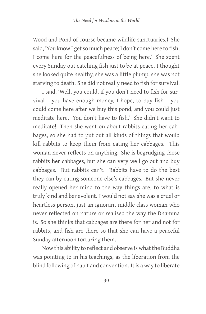Wood and Pond of course became wildlife sanctuaries.) She said, 'You know I get so much peace; I don't come here to fish, I come here for the peacefulness of being here.' She spent every Sunday out catching fish just to be at peace. I thought she looked quite healthy, she was a little plump, she was not starving to death. She did not really need to fish for survival.

I said, 'Well, you could, if you don't need to fish for survival – you have enough money, I hope, to buy fish – you could come here after we buy this pond, and you could just meditate here. You don't have to fish.' She didn't want to meditate! Then she went on about rabbits eating her cabbages, so she had to put out all kinds of things that would kill rabbits to keep them from eating her cabbages. This woman never reflects on anything. She is begrudging those rabbits her cabbages, but she can very well go out and buy cabbages. But rabbits can't. Rabbits have to do the best they can by eating someone else's cabbages. But she never really opened her mind to the way things are, to what is truly kind and benevolent. I would not say she was a cruel or heartless person, just an ignorant middle class woman who never reflected on nature or realised the way the Dhamma is. So she thinks that cabbages are there for her and not for rabbits, and fish are there so that she can have a peaceful Sunday afternoon torturing them.

Now this ability to reflect and observe is what the Buddha was pointing to in his teachings, as the liberation from the blind following of habit and convention. It is a way to liberate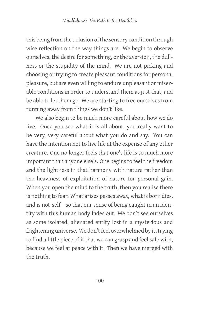this being from the delusion of the sensory condition through wise reflection on the way things are. We begin to observe ourselves, the desire for something, or the aversion, the dullness or the stupidity of the mind. We are not picking and choosing or trying to create pleasant conditions for personal pleasure, but are even willing to endure unpleasant or miserable conditions in order to understand them as just that, and be able to let them go. We are starting to free ourselves from running away from things we don't like.

We also begin to be much more careful about how we do live. Once you see what it is all about, you really want to be very, very careful about what you do and say. You can have the intention not to live life at the expense of any other creature. One no longer feels that one's life is so much more important than anyone else's. One begins to feel the freedom and the lightness in that harmony with nature rather than the heaviness of exploitation of nature for personal gain. When you open the mind to the truth, then you realise there is nothing to fear. What arises passes away, what is born dies, and is not-self – so that our sense of being caught in an identity with this human body fades out. We don't see ourselves as some isolated, alienated entity lost in a mysterious and frightening universe. We don't feel overwhelmed by it, trying to find a little piece of it that we can grasp and feel safe with, because we feel at peace with it. Then we have merged with the truth.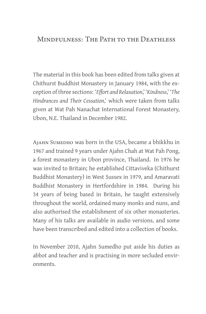## MINDFULNESS: THE PATH TO THE DEATHLESS

The material in this book has been edited from talks given at Chithurst Buddhist Monastery in January 1984, with the exception of three sections: 'Effort and Relaxation,' 'Kindness,' 'The Hindrances and Their Cessation,' which were taken from talks given at Wat Pah Nanachat International Forest Monastery, Ubon, N.E. Thailand in December 1982.

AJAHN SUMEDHO was born in the USA, became a bhikkhu in 1967 and trained 9 years under Ajahn Chah at Wat Pah Pong, a forest monastery in Ubon province, Thailand. In 1976 he was invited to Britain: he established Cittaviveka (Chithurst) Buddhist Monastery) in West Sussex in 1979, and Amaravati Buddhist Monastery in Hertfordshire in 1984. During his 34 years of being based in Britain, he taught extensively throughout the world, ordained many monks and nuns, and also authorised the establishment of six other monasteries. Many of his talks are available in audio versions, and some have been transcribed and edited into a collection of books.

In November 2010, Ajahn Sumedho put aside his duties as abbot and teacher and is practising in more secluded environments.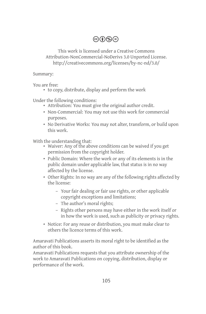## $\circledcirc$

### This work is licensed under a Creative Commons Attribution-NonCommercial-NoDerivs 3.0 Unported License. <http://creativecommons.org/licenses/by-nc-nd/3.0/>

#### Summary:

You are free: • to copy, distribute, display and perform the work

- Under the following conditions:<br>• Attribution: You must give the original author credit.
	- Non-Commercial: You may not use this work for commercial purposes.
	- No Derivative Works: You may not alter, transform, or build upon this work.

- With the understanding that: Waiver: Any of the above conditions can be waived if you get permission from the copyright holder.
	- Public Domain: Where the work or any of its elements is in the public domain under applicable law, that status is in no way affected by the license.
	- Other Rights: In no way are any of the following rights affected by the license:
		- Your fair dealing or fair use rights, or other applicable copyright exceptions and limitations;
		- The author's moral rights;
		- Rights other persons may have either in the work itself or in how the work is used, such as publicity or privacy rights.
	- Notice: For any reuse or distribution, you must make clear to others the licence terms of this work.

Amaravati Publications asserts its moral right to be identified as the author of this book.

Amaravati Publications requests that you attribute ownership of the work to Amaravati Publications on copying, distribution, display or performance of the work.